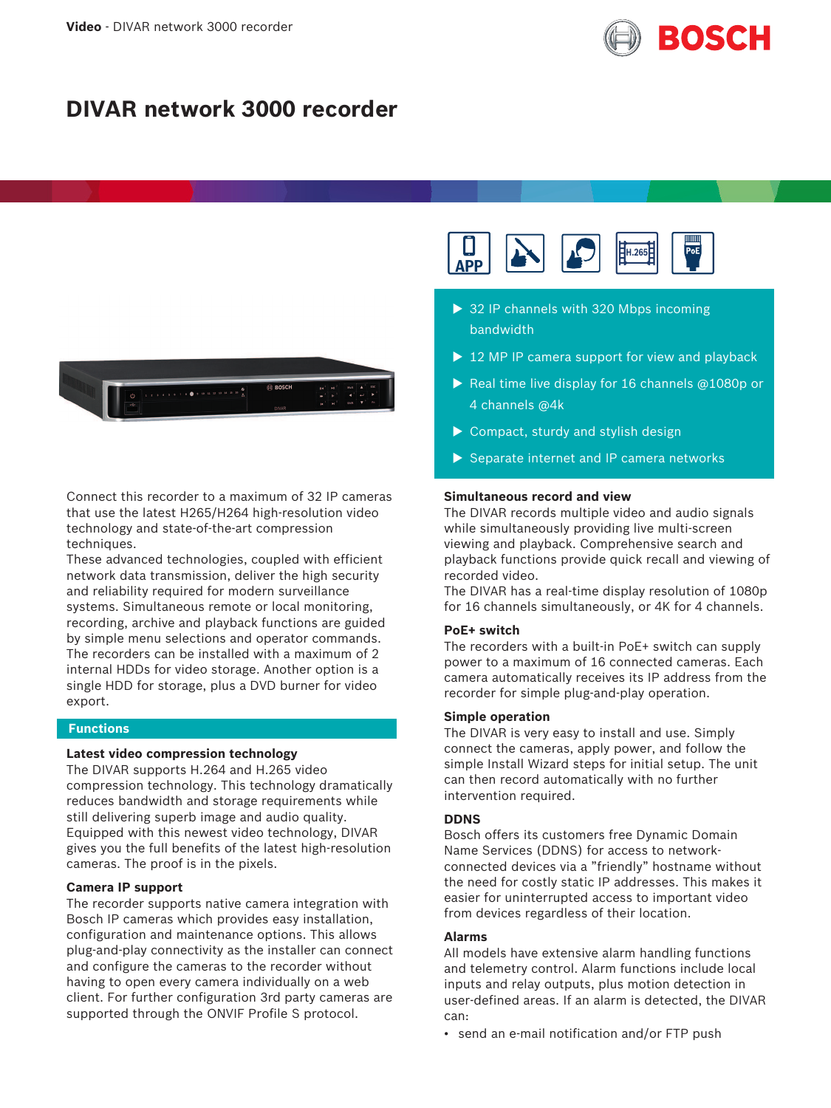

# **DIVAR network 3000 recorder**



Connect this recorder to a maximum of 32 IP cameras that use the latest H265/H264 high-resolution video technology and state-of-the-art compression techniques.

These advanced technologies, coupled with efficient network data transmission, deliver the high security and reliability required for modern surveillance systems. Simultaneous remote or local monitoring, recording, archive and playback functions are guided by simple menu selections and operator commands. The recorders can be installed with a maximum of 2 internal HDDs for video storage. Another option is a single HDD for storage, plus a DVD burner for video export.

## **Functions**

## **Latest video compression technology**

The DIVAR supports H.264 and H.265 video compression technology. This technology dramatically reduces bandwidth and storage requirements while still delivering superb image and audio quality. Equipped with this newest video technology, DIVAR gives you the full benefits of the latest high-resolution cameras. The proof is in the pixels.

## **Camera IP support**

The recorder supports native camera integration with Bosch IP cameras which provides easy installation, configuration and maintenance options. This allows plug-and-play connectivity as the installer can connect and configure the cameras to the recorder without having to open every camera individually on a web client. For further configuration 3rd party cameras are supported through the ONVIF Profile S protocol.



- $\triangleright$  32 IP channels with 320 Mbps incoming bandwidth
- $\triangleright$  12 MP IP camera support for view and playback
- Real time live display for 16 channels  $@1080p$  or 4 channels @4k
- $\triangleright$  Compact, sturdy and stylish design
- $\triangleright$  Separate internet and IP camera networks

### **Simultaneous record and view**

The DIVAR records multiple video and audio signals while simultaneously providing live multi-screen viewing and playback. Comprehensive search and playback functions provide quick recall and viewing of recorded video.

The DIVAR has a real-time display resolution of 1080p for 16 channels simultaneously, or 4K for 4 channels.

### **PoE+ switch**

The recorders with a built-in PoE+ switch can supply power to a maximum of 16 connected cameras. Each camera automatically receives its IP address from the recorder for simple plug-and-play operation.

## **Simple operation**

The DIVAR is very easy to install and use. Simply connect the cameras, apply power, and follow the simple Install Wizard steps for initial setup. The unit can then record automatically with no further intervention required.

#### **DDNS**

Bosch offers its customers free Dynamic Domain Name Services (DDNS) for access to networkconnected devices via a "friendly" hostname without the need for costly static IP addresses. This makes it easier for uninterrupted access to important video from devices regardless of their location.

#### **Alarms**

All models have extensive alarm handling functions and telemetry control. Alarm functions include local inputs and relay outputs, plus motion detection in user-defined areas. If an alarm is detected, the DIVAR can:

• send an e-mail notification and/or FTP push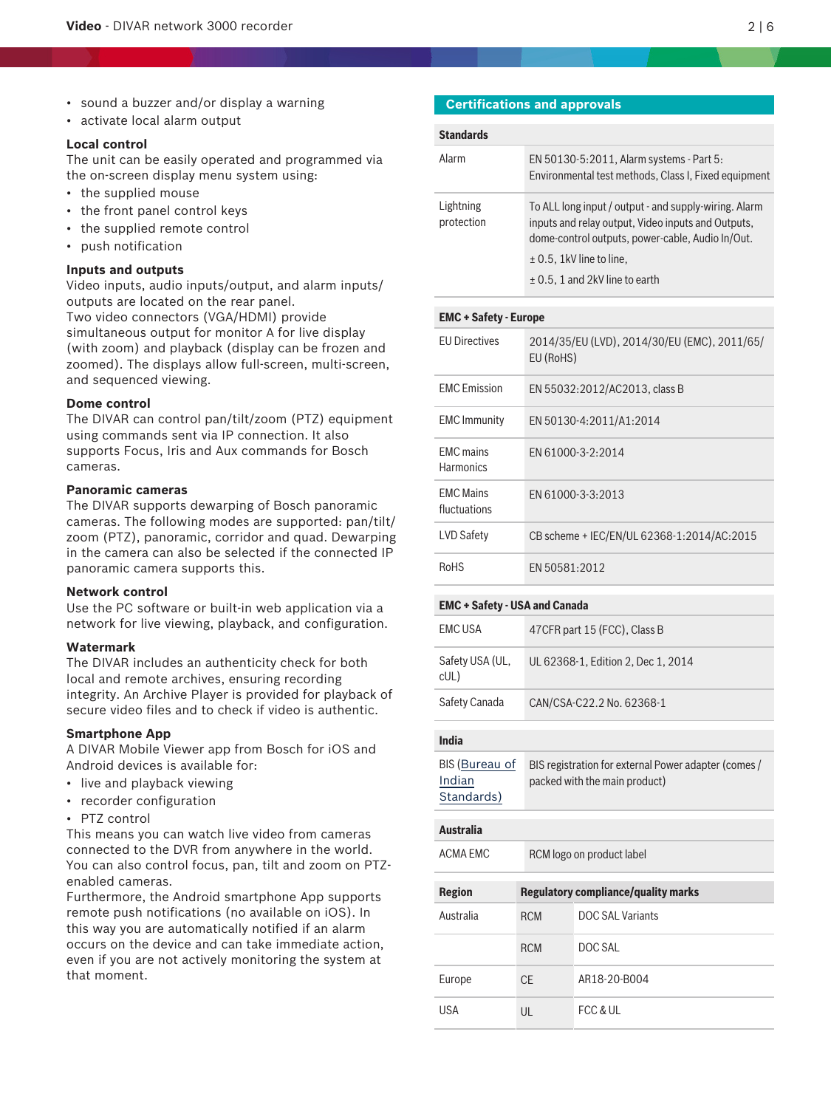- sound a buzzer and/or display a warning
- activate local alarm output

## **Local control**

The unit can be easily operated and programmed via the on-screen display menu system using:

- the supplied mouse
- the front panel control keys
- the supplied remote control
- push notification

## **Inputs and outputs**

Video inputs, audio inputs/output, and alarm inputs/ outputs are located on the rear panel. Two video connectors (VGA/HDMI) provide simultaneous output for monitor A for live display (with zoom) and playback (display can be frozen and zoomed). The displays allow full-screen, multi-screen, and sequenced viewing.

## **Dome control**

The DIVAR can control pan/tilt/zoom (PTZ) equipment using commands sent via IP connection. It also supports Focus, Iris and Aux commands for Bosch cameras.

#### **Panoramic cameras**

The DIVAR supports dewarping of Bosch panoramic cameras. The following modes are supported: pan/tilt/ zoom (PTZ), panoramic, corridor and quad. Dewarping in the camera can also be selected if the connected IP panoramic camera supports this.

#### **Network control**

Use the PC software or built-in web application via a network for live viewing, playback, and configuration.

### **Watermark**

The DIVAR includes an authenticity check for both local and remote archives, ensuring recording integrity. An Archive Player is provided for playback of secure video files and to check if video is authentic.

#### **Smartphone App**

A DIVAR Mobile Viewer app from Bosch for iOS and Android devices is available for:

- live and playback viewing
- recorder configuration
- PTZ control

This means you can watch live video from cameras connected to the DVR from anywhere in the world. You can also control focus, pan, tilt and zoom on PTZenabled cameras.

Furthermore, the Android smartphone App supports remote push notifications (no available on iOS). In this way you are automatically notified if an alarm occurs on the device and can take immediate action, even if you are not actively monitoring the system at that moment.

## **Certifications and approvals**

| <b>Standards</b>        |                                                                                                                                                                 |
|-------------------------|-----------------------------------------------------------------------------------------------------------------------------------------------------------------|
| Alarm                   | EN 50130-5:2011, Alarm systems - Part 5:<br>Environmental test methods, Class I, Fixed equipment                                                                |
| Lightning<br>protection | To ALL long input / output - and supply-wiring. Alarm<br>inputs and relay output, Video inputs and Outputs,<br>dome-control outputs, power-cable, Audio In/Out. |
|                         | $\pm$ 0.5, 1kV line to line,                                                                                                                                    |
|                         | $\pm$ 0.5, 1 and 2kV line to earth                                                                                                                              |

## **EMC + Safety - Europe**

| <b>FU Directives</b>                 | 2014/35/EU (LVD), 2014/30/EU (EMC), 2011/65/<br>EU (RoHS) |
|--------------------------------------|-----------------------------------------------------------|
| <b>FMC</b> Emission                  | EN 55032:2012/AC2013, class B                             |
| <b>EMC</b> Immunity                  | EN 50130-4:2011/A1:2014                                   |
| <b>FMC</b> mains<br><b>Harmonics</b> | FN 61000-3-2:2014                                         |
| <b>FMC Mains</b><br>fluctuations     | FN 61000-3-3:2013                                         |
| <b>LVD Safety</b>                    | CB scheme + IEC/EN/UL 62368-1:2014/AC:2015                |
| <b>RoHS</b>                          | FN 50581:2012                                             |

#### **EMC + Safety - USA and Canada**

| EMC USA                | 47 CFR part 15 (FCC), Class B      |
|------------------------|------------------------------------|
| Safety USA (UL,<br>cUL | UL 62368-1, Edition 2, Dec 1, 2014 |
| Safety Canada          | CAN/CSA-C22.2 No. 62368-1          |

## **India**

| BIS (Bureau of | BIS registration for external Power adapter (comes / |
|----------------|------------------------------------------------------|
| Indian         | packed with the main product)                        |
| Standards)     |                                                      |

## **Australia** ACMA EMC RCM logo on product label

| <b>Region</b> |            | <b>Regulatory compliance/quality marks</b> |
|---------------|------------|--------------------------------------------|
| Australia     | <b>RCM</b> | DOC SAL Variants                           |
|               | <b>RCM</b> | DOC SAL                                    |
| Europe        | <b>CE</b>  | AR18-20-B004                               |
| USA           | UL         | FCC & UL                                   |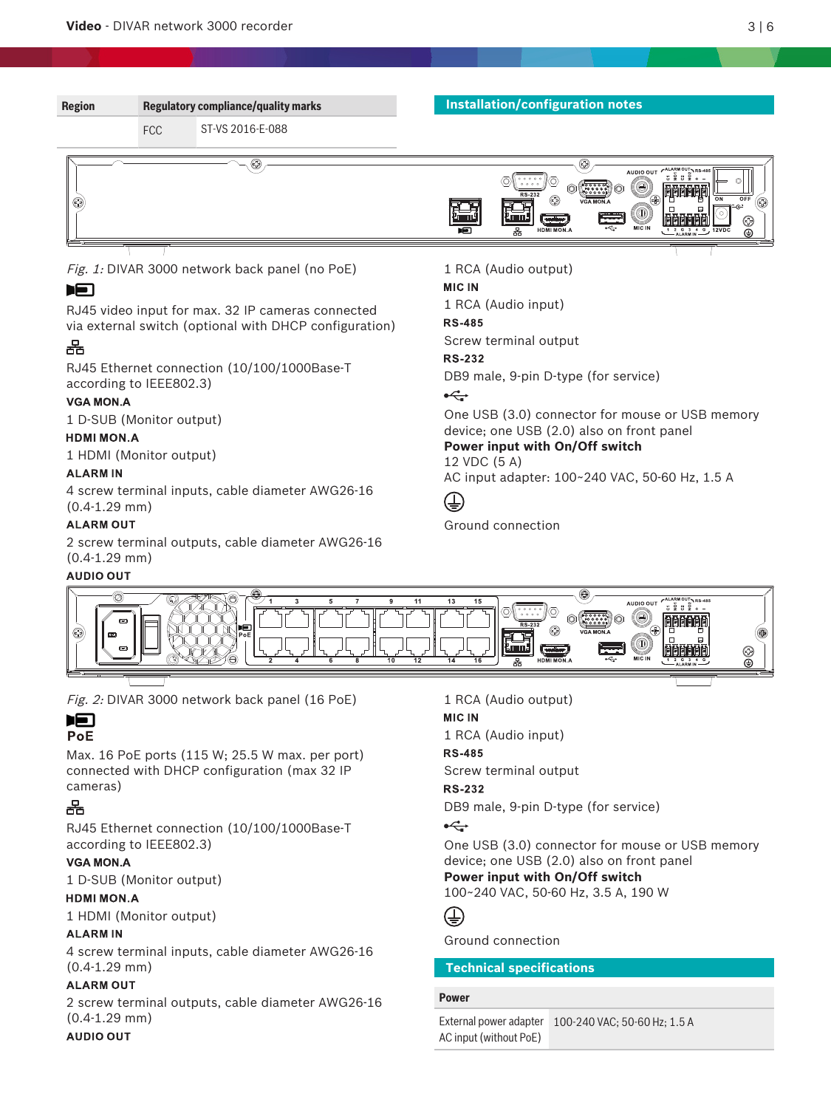

Fig. 2: DIVAR 3000 network back panel (16 PoE)

#### **IFI** PoE

Max. 16 PoE ports (115 W; 25.5 W max. per port) connected with DHCP configuration (max 32 IP cameras)

## 몲

RJ45 Ethernet connection (10/100/1000Base-T according to IEEE802.3)

## **VGA MON.A**

1 D-SUB (Monitor output)

## **HDMI MON.A**

1 HDMI (Monitor output)

## **ALARMIN**

4 screw terminal inputs, cable diameter AWG26‑16 (0.4-1.29 mm)

## **ALARM OUT**

2 screw terminal outputs, cable diameter AWG26‑16 (0.4-1.29 mm)

## **AUDIO OUT**

1 RCA (Audio output)

## **MIC IN**

1 RCA (Audio input)

**RS-485** Screw terminal output

## **RS-232**

DB9 male, 9-pin D-type (for service)

## $\overrightarrow{C}$

One USB (3.0) connector for mouse or USB memory device; one USB (2.0) also on front panel **Power input with On/Off switch**

100~240 VAC, 50-60 Hz, 3.5 A, 190 W

## €

Ground connection

## **Technical specifications**

## **Power**

External power adapter 100-240 VAC; 50-60 Hz; 1.5 AAC input (without PoE)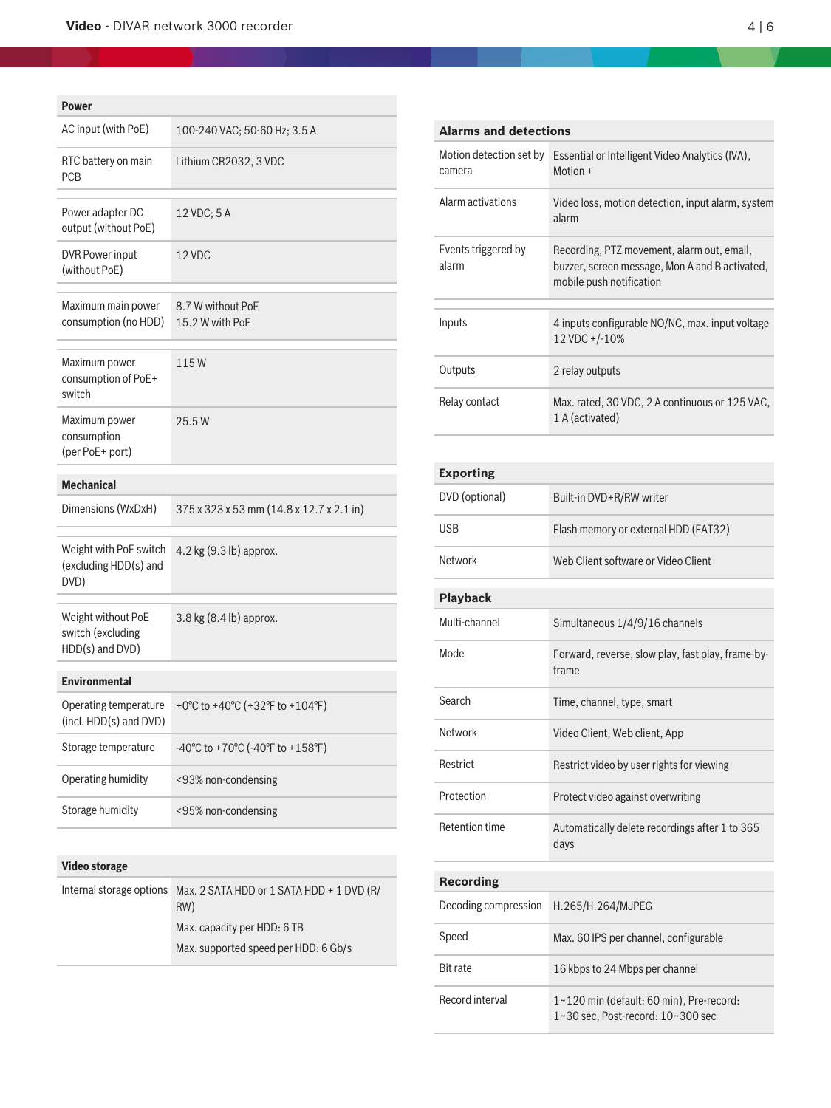## **Video** - DIVAR network 3000 recorder 4 | 6

## **Power**

| rower                                                      |                                           |
|------------------------------------------------------------|-------------------------------------------|
| AC input (with PoE)                                        | 100-240 VAC; 50-60 Hz; 3.5 A              |
| RTC battery on main<br><b>PCB</b>                          | Lithium CR2032, 3 VDC                     |
| Power adapter DC<br>output (without PoE)                   | 12 VDC; 5 A                               |
| DVR Power input<br>(without PoE)                           | 12 VDC                                    |
| Maximum main power<br>consumption (no HDD)                 | 8.7 W without PoE<br>15.2 W with PoE      |
| Maximum power<br>consumption of PoE+<br>switch             | 115W                                      |
| Maximum power<br>consumption<br>(per PoE+ port)            | 25.5W                                     |
| <b>Mechanical</b>                                          |                                           |
| Dimensions (WxDxH)                                         | 375 x 323 x 53 mm (14.8 x 12.7 x 2.1 in)  |
| Weight with PoE switch<br>(excluding HDD(s) and<br>DVD)    | 4.2 kg (9.3 lb) approx.                   |
| Weight without PoE<br>switch (excluding<br>HDD(s) and DVD) | 3.8 kg (8.4 lb) approx.                   |
| <b>Environmental</b>                                       |                                           |
| Operating temperature<br>(incl. HDD(s) and DVD)            | +0°C to +40°C (+32°F to +104°F)           |
| Storage temperature                                        | -40°C to +70°C (-40°F to +158°F)          |
| Operating humidity                                         | <93% non-condensing                       |
| Storage humidity                                           | <95% non-condensing                       |
|                                                            |                                           |
| <b>Video storage</b>                                       |                                           |
| Internal storage options                                   | Max. 2 SATA HDD or 1 SATA HDD + 1 DVD (R/ |

RW)

Max. capacity per HDD: 6 TB

Max. supported speed per HDD: 6 Gb/s

| <b>Alarms and detections</b>      |                                                                                                                          |
|-----------------------------------|--------------------------------------------------------------------------------------------------------------------------|
| Motion detection set by<br>camera | Essential or Intelligent Video Analytics (IVA),<br>Motion +                                                              |
| Alarm activations                 | Video loss, motion detection, input alarm, system<br>alarm                                                               |
| Events triggered by<br>alarm      | Recording, PTZ movement, alarm out, email,<br>buzzer, screen message, Mon A and B activated,<br>mobile push notification |
| Inputs                            | 4 inputs configurable NO/NC, max. input voltage<br>12 VDC +/-10%                                                         |
| Outputs                           | 2 relay outputs                                                                                                          |
| Relay contact                     | Max. rated, 30 VDC, 2 A continuous or 125 VAC,<br>1 A (activated)                                                        |

## **Exporting**

| DVD (optional)        | Built-in DVD+R/RW writer                                                      |
|-----------------------|-------------------------------------------------------------------------------|
| <b>USB</b>            | Flash memory or external HDD (FAT32)                                          |
| Network               | Web Client software or Video Client                                           |
| <b>Playback</b>       |                                                                               |
| Multi-channel         | Simultaneous 1/4/9/16 channels                                                |
| Mode                  | Forward, reverse, slow play, fast play, frame-by-<br>frame                    |
| Search                | Time, channel, type, smart                                                    |
| Network               | Video Client, Web client, App                                                 |
| Restrict              | Restrict video by user rights for viewing                                     |
| Protection            | Protect video against overwriting                                             |
| <b>Retention time</b> | Automatically delete recordings after 1 to 365<br>days                        |
| <b>Recording</b>      |                                                                               |
| Decoding compression  | H.265/H.264/MJPEG                                                             |
| Speed                 | Max. 60 IPS per channel, configurable                                         |
| <b>Bit rate</b>       | 16 kbps to 24 Mbps per channel                                                |
| Record interval       | 1~120 min (default: 60 min), Pre-record:<br>1~30 sec, Post-record: 10~300 sec |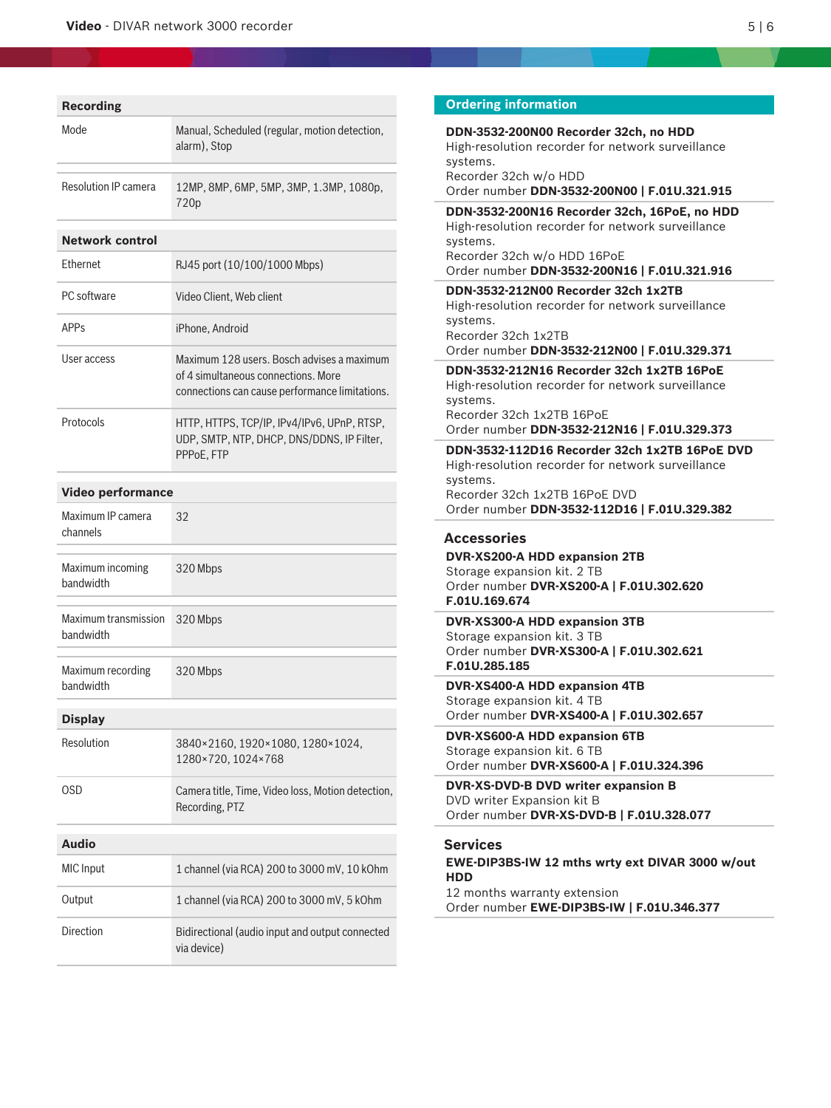| <b>Recording</b>                  |                                                                                                                                     |
|-----------------------------------|-------------------------------------------------------------------------------------------------------------------------------------|
| Mode                              | Manual, Scheduled (regular, motion detection,<br>alarm), Stop                                                                       |
| Resolution IP camera              | 12MP, 8MP, 6MP, 5MP, 3MP, 1.3MP, 1080p,<br>720p                                                                                     |
| <b>Network control</b>            |                                                                                                                                     |
| Ethernet                          | RJ45 port (10/100/1000 Mbps)                                                                                                        |
| PC software                       | Video Client, Web client                                                                                                            |
| <b>APP<sub>S</sub></b>            | iPhone, Android                                                                                                                     |
| User access                       | Maximum 128 users. Bosch advises a maximum<br>of 4 simultaneous connections. More<br>connections can cause performance limitations. |
| Protocols                         | HTTP, HTTPS, TCP/IP, IPv4/IPv6, UPnP, RTSP,<br>UDP, SMTP, NTP, DHCP, DNS/DDNS, IP Filter,<br>PPPoE, FTP                             |
| <b>Video performance</b>          |                                                                                                                                     |
| Maximum IP camera<br>channels     | 32                                                                                                                                  |
| Maximum incoming<br>bandwidth     | 320 Mbps                                                                                                                            |
| Maximum transmission<br>bandwidth | 320 Mbps                                                                                                                            |
| Maximum recording<br>bandwidth    | 320 Mbps                                                                                                                            |
| <b>Display</b>                    |                                                                                                                                     |
| Resolution                        | 3840×2160, 1920×1080, 1280×1024,<br>1280×720, 1024×768                                                                              |
| OSD                               | Camera title, Time, Video loss, Motion detection,<br>Recording, PTZ                                                                 |

| Audio            |                                                                |
|------------------|----------------------------------------------------------------|
| MIC Input        | 1 channel (via RCA) 200 to 3000 mV, 10 kOhm                    |
| Output           | 1 channel (via RCA) 200 to 3000 mV, 5 kOhm                     |
| <b>Direction</b> | Bidirectional (audio input and output connected<br>via device) |

## **Ordering information**

**DDN-3532-200N00 Recorder 32ch, no HDD** High-resolution recorder for network surveillance systems. Recorder 32ch w/o HDD Order number **DDN-3532-200N00 | F.01U.321.915 DDN-3532-200N16 Recorder 32ch, 16PoE, no HDD** High-resolution recorder for network surveillance systems. Recorder 32ch w/o HDD 16PoE Order number **DDN-3532-200N16 | F.01U.321.916 DDN-3532-212N00 Recorder 32ch 1x2TB** High-resolution recorder for network surveillance systems. Recorder 32ch 1x2TB Order number **DDN-3532-212N00 | F.01U.329.371 DDN-3532-212N16 Recorder 32ch 1x2TB 16PoE** High-resolution recorder for network surveillance systems. Recorder 32ch 1x2TB 16PoE Order number **DDN-3532-212N16 | F.01U.329.373 DDN-3532-112D16 Recorder 32ch 1x2TB 16PoE DVD** High-resolution recorder for network surveillance systems. Recorder 32ch 1x2TB 16PoE DVD Order number **DDN-3532-112D16 | F.01U.329.382 Accessories DVR-XS200-A HDD expansion 2TB** Storage expansion kit. 2 TB Order number **DVR-XS200-A | F.01U.302.620 F.01U.169.674 DVR-XS300-A HDD expansion 3TB** Storage expansion kit. 3 TB Order number **DVR-XS300-A | F.01U.302.621 F.01U.285.185 DVR-XS400-A HDD expansion 4TB** Storage expansion kit. 4 TB Order number **DVR-XS400-A | F.01U.302.657 DVR-XS600-A HDD expansion 6TB** Storage expansion kit. 6 TB Order number **DVR-XS600-A | F.01U.324.396 DVR-XS-DVD-B DVD writer expansion B** DVD writer Expansion kit B Order number **DVR-XS-DVD-B | F.01U.328.077 Services EWE-DIP3BS-IW 12 mths wrty ext DIVAR 3000 w/out HDD** 12 months warranty extension Order number **EWE-DIP3BS-IW | F.01U.346.377**